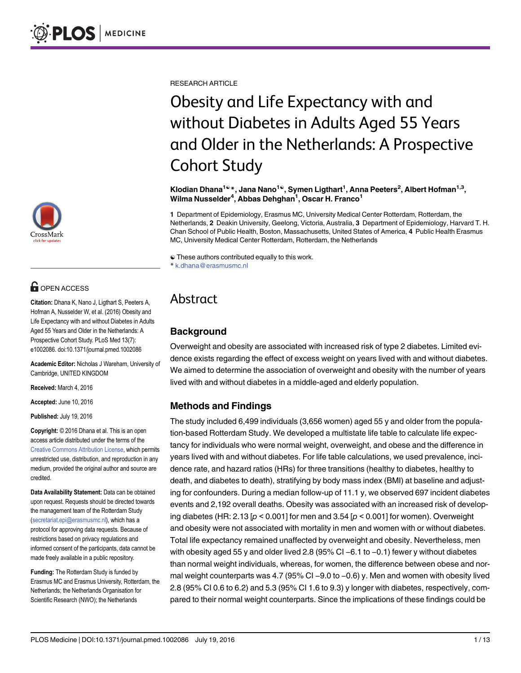

# **O** OPEN ACCESS

Citation: Dhana K, Nano J, Ligthart S, Peeters A, Hofman A, Nusselder W, et al. (2016) Obesity and Life Expectancy with and without Diabetes in Adults Aged 55 Years and Older in the Netherlands: A Prospective Cohort Study. PLoS Med 13(7): e1002086. doi:10.1371/journal.pmed.1002086

Academic Editor: Nicholas J Wareham, University of Cambridge, UNITED KINGDOM

Received: March 4, 2016

Accepted: June 10, 2016

Published: July 19, 2016

Copyright: © 2016 Dhana et al. This is an open access article distributed under the terms of the [Creative Commons Attribution License,](http://creativecommons.org/licenses/by/4.0/) which permits unrestricted use, distribution, and reproduction in any medium, provided the original author and source are credited.

Data Availability Statement: Data can be obtained upon request. Requests should be directed towards the management team of the Rotterdam Study (secretariat.epi@erasmusmc.nl), which has a protocol for approving data requests. Because of restrictions based on privacy regulations and informed consent of the participants, data cannot be made freely available in a public repository.

Funding: The Rotterdam Study is funded by Erasmus MC and Erasmus University, Rotterdam, the Netherlands; the Netherlands Organisation for Scientific Research (NWO); the Netherlands

RESEARCH ARTICLE

# Obesity and Life Expectancy with and without Diabetes in Adults Aged 55 Years and Older in the Netherlands: A Prospective Cohort Study

Klodian Dhana<sup>1ଢ</sup>\*, Jana Nano<sup>1ଢ</sup>, Symen Ligthart<sup>1</sup>, Anna Peeters<sup>2</sup>, Albert Hofman<sup>1,3</sup>, Wilma Nusselder<sup>4</sup>, Abbas Dehghan<sup>1</sup>, Oscar H. Franco<sup>1</sup>

1 Department of Epidemiology, Erasmus MC, University Medical Center Rotterdam, Rotterdam, the Netherlands, 2 Deakin University, Geelong, Victoria, Australia, 3 Department of Epidemiology, Harvard T. H. Chan School of Public Health, Boston, Massachusetts, United States of America, 4 Public Health Erasmus MC, University Medical Center Rotterdam, Rotterdam, the Netherlands

☯ These authors contributed equally to this work.

\* k.dhana@erasmusmc.nl

## Abstract

### Background

Overweight and obesity are associated with increased risk of type 2 diabetes. Limited evidence exists regarding the effect of excess weight on years lived with and without diabetes. We aimed to determine the association of overweight and obesity with the number of years lived with and without diabetes in a middle-aged and elderly population.

#### Methods and Findings

The study included 6,499 individuals (3,656 women) aged 55 y and older from the population-based Rotterdam Study. We developed a multistate life table to calculate life expectancy for individuals who were normal weight, overweight, and obese and the difference in years lived with and without diabetes. For life table calculations, we used prevalence, incidence rate, and hazard ratios (HRs) for three transitions (healthy to diabetes, healthy to death, and diabetes to death), stratifying by body mass index (BMI) at baseline and adjusting for confounders. During a median follow-up of 11.1 y, we observed 697 incident diabetes events and 2,192 overall deaths. Obesity was associated with an increased risk of developing diabetes (HR: 2.13  $[p < 0.001]$  for men and 3.54  $[p < 0.001]$  for women). Overweight and obesity were not associated with mortality in men and women with or without diabetes.<br>Total life expectancy remained unaffected by overweight and obesity. Nevertheless, men<br>with obesity aged 55 y and older lived 2.8 ( Total life expectancy remained unaffected by overweight and obesity. Nevertheless, men than normal weight individuals, whereas, for women, the difference between obese and norwith obesity aged 55 y and older lived 2.8 (95% CI −6.1 to −0.1) fewer y without diabetes<br>than normal weight individuals, whereas, for women, the difference between obese and nor-<br>mal weight counterparts was 4.7 (95% CI − 2.8 (95% CI 0.6 to 6.2) and 5.3 (95% CI 1.6 to 9.3) y longer with diabetes, respectively, compared to their normal weight counterparts. Since the implications of these findings could be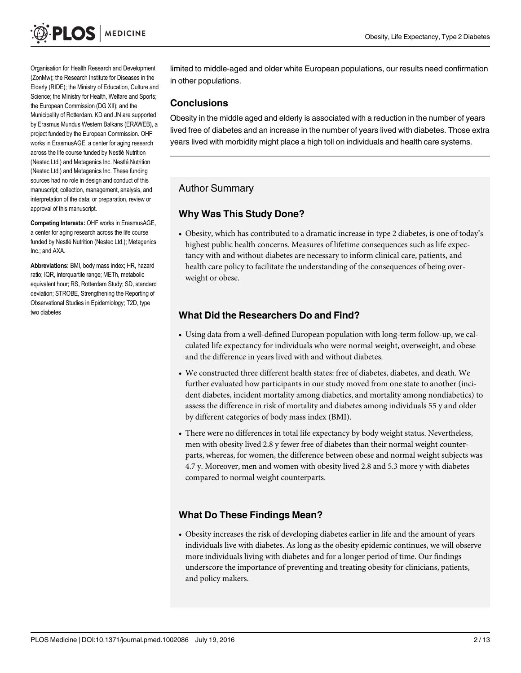Organisation for Health Research and Development (ZonMw); the Research Institute for Diseases in the Elderly (RIDE); the Ministry of Education, Culture and Science; the Ministry for Health, Welfare and Sports; the European Commission (DG XII); and the Municipality of Rotterdam. KD and JN are supported by Erasmus Mundus Western Balkans (ERAWEB), a project funded by the European Commission. OHF works in ErasmusAGE, a center for aging research across the life course funded by Nestlé Nutrition (Nestec Ltd.) and Metagenics Inc. Nestlé Nutrition (Nestec Ltd.) and Metagenics Inc. These funding sources had no role in design and conduct of this manuscript; collection, management, analysis, and interpretation of the data; or preparation, review or approval of this manuscript.

Competing Interests: OHF works in ErasmusAGE, a center for aging research across the life course funded by Nestlé Nutrition (Nestec Ltd.); Metagenics Inc.; and AXA.

Abbreviations: BMI, body mass index; HR, hazard ratio; IQR, interquartile range; METh, metabolic equivalent hour; RS, Rotterdam Study; SD, standard deviation; STROBE, Strengthening the Reporting of Observational Studies in Epidemiology; T2D, type two diabetes

limited to middle-aged and older white European populations, our results need confirmation in other populations.

#### **Conclusions**

Obesity in the middle aged and elderly is associated with a reduction in the number of years lived free of diabetes and an increase in the number of years lived with diabetes. Those extra years lived with morbidity might place a high toll on individuals and health care systems.

## Author Summary

#### Why Was This Study Done?

• Obesity, which has contributed to a dramatic increase in type 2 diabetes, is one of today's highest public health concerns. Measures of lifetime consequences such as life expectancy with and without diabetes are necessary to inform clinical care, patients, and health care policy to facilitate the understanding of the consequences of being overweight or obese.

#### What Did the Researchers Do and Find?

- Using data from a well-defined European population with long-term follow-up, we calculated life expectancy for individuals who were normal weight, overweight, and obese and the difference in years lived with and without diabetes.
- We constructed three different health states: free of diabetes, diabetes, and death. We further evaluated how participants in our study moved from one state to another (incident diabetes, incident mortality among diabetics, and mortality among nondiabetics) to assess the difference in risk of mortality and diabetes among individuals 55 y and older by different categories of body mass index (BMI).
- There were no differences in total life expectancy by body weight status. Nevertheless, men with obesity lived 2.8 y fewer free of diabetes than their normal weight counterparts, whereas, for women, the difference between obese and normal weight subjects was 4.7 y. Moreover, men and women with obesity lived 2.8 and 5.3 more y with diabetes compared to normal weight counterparts.

#### What Do These Findings Mean?

• Obesity increases the risk of developing diabetes earlier in life and the amount of years individuals live with diabetes. As long as the obesity epidemic continues, we will observe more individuals living with diabetes and for a longer period of time. Our findings underscore the importance of preventing and treating obesity for clinicians, patients, and policy makers.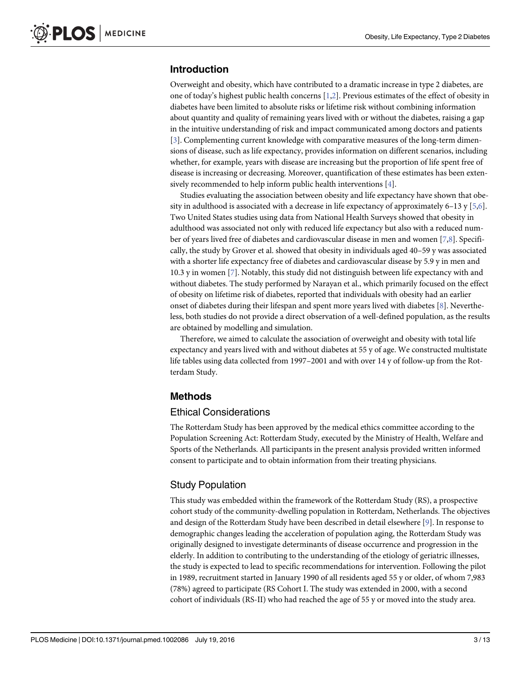#### <span id="page-2-0"></span>Introduction

Overweight and obesity, which have contributed to a dramatic increase in type 2 diabetes, are one of today's highest public health concerns [\[1,2\]](#page-11-0). Previous estimates of the effect of obesity in diabetes have been limited to absolute risks or lifetime risk without combining information about quantity and quality of remaining years lived with or without the diabetes, raising a gap in the intuitive understanding of risk and impact communicated among doctors and patients [\[3](#page-11-0)]. Complementing current knowledge with comparative measures of the long-term dimensions of disease, such as life expectancy, provides information on different scenarios, including whether, for example, years with disease are increasing but the proportion of life spent free of disease is increasing or decreasing. Moreover, quantification of these estimates has been extensively recommended to help inform public health interventions [[4\]](#page-11-0).

Studies evaluating the association between obesity and life expectancy have shown that obesity in adulthood is associated with a decrease in life expectancy of approximately 6–13 y  $[5,6]$ . Two United States studies using data from National Health Surveys showed that obesity in adulthood was associated not only with reduced life expectancy but also with a reduced number of years lived free of diabetes and cardiovascular disease in men and women [\[7,8](#page-11-0)]. Specifically, the study by Grover et al. showed that obesity in individuals aged 40–59 y was associated with a shorter life expectancy free of diabetes and cardiovascular disease by 5.9 y in men and 10.3 y in women [[7\]](#page-11-0). Notably, this study did not distinguish between life expectancy with and without diabetes. The study performed by Narayan et al., which primarily focused on the effect of obesity on lifetime risk of diabetes, reported that individuals with obesity had an earlier onset of diabetes during their lifespan and spent more years lived with diabetes  $[8]$  $[8]$  $[8]$ . Nevertheless, both studies do not provide a direct observation of a well-defined population, as the results are obtained by modelling and simulation.

Therefore, we aimed to calculate the association of overweight and obesity with total life expectancy and years lived with and without diabetes at 55 y of age. We constructed multistate life tables using data collected from 1997–2001 and with over 14 y of follow-up from the Rotterdam Study.

#### Methods

#### Ethical Considerations

The Rotterdam Study has been approved by the medical ethics committee according to the Population Screening Act: Rotterdam Study, executed by the Ministry of Health, Welfare and Sports of the Netherlands. All participants in the present analysis provided written informed consent to participate and to obtain information from their treating physicians.

#### Study Population

This study was embedded within the framework of the Rotterdam Study (RS), a prospective cohort study of the community-dwelling population in Rotterdam, Netherlands. The objectives and design of the Rotterdam Study have been described in detail elsewhere [\[9\]](#page-11-0). In response to demographic changes leading the acceleration of population aging, the Rotterdam Study was originally designed to investigate determinants of disease occurrence and progression in the elderly. In addition to contributing to the understanding of the etiology of geriatric illnesses, the study is expected to lead to specific recommendations for intervention. Following the pilot in 1989, recruitment started in January 1990 of all residents aged 55 y or older, of whom 7,983 (78%) agreed to participate (RS Cohort I. The study was extended in 2000, with a second cohort of individuals (RS-II) who had reached the age of 55 y or moved into the study area.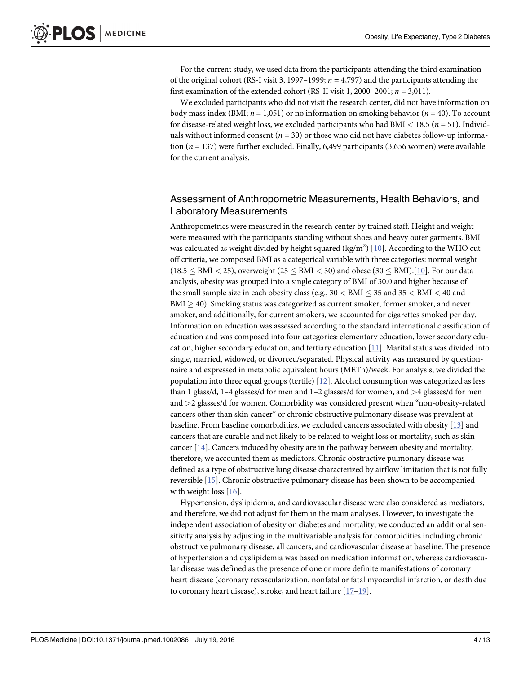<span id="page-3-0"></span>For the current study, we used data from the participants attending the third examination of the original cohort (RS-I visit 3, 1997–1999;  $n = 4,797$ ) and the participants attending the first examination of the extended cohort (RS-II visit 1, 2000–2001;  $n = 3,011$ ).

We excluded participants who did not visit the research center, did not have information on body mass index (BMI;  $n = 1,051$ ) or no information on smoking behavior ( $n = 40$ ). To account for disease-related weight loss, we excluded participants who had BMI  $<$  18.5 ( $n = 51$ ). Individuals without informed consent ( $n = 30$ ) or those who did not have diabetes follow-up information ( $n = 137$ ) were further excluded. Finally, 6,499 participants (3,656 women) were available for the current analysis.

#### Assessment of Anthropometric Measurements, Health Behaviors, and Laboratory Measurements

Anthropometrics were measured in the research center by trained staff. Height and weight were measured with the participants standing without shoes and heavy outer garments. BMI was calculated as weight divided by height squared (kg/m<sup>2</sup>) [\[10\]](#page-11-0). According to the WHO cutoff criteria, we composed BMI as a categorical variable with three categories: normal weight  $(18.5 \leq BMI < 25)$ , overweight  $(25 \leq BMI < 30)$  and obese  $(30 \leq BMI)$ . [[10\]](#page-11-0). For our data analysis, obesity was grouped into a single category of BMI of 30.0 and higher because of the small sample size in each obesity class (e.g.,  $30 < BMI \leq 35$  and  $35 < BMI < 40$  and  $BMI \geq 40$ ). Smoking status was categorized as current smoker, former smoker, and never smoker, and additionally, for current smokers, we accounted for cigarettes smoked per day. Information on education was assessed according to the standard international classification of education and was composed into four categories: elementary education, lower secondary education, higher secondary education, and tertiary education [\[11\]](#page-11-0). Marital status was divided into single, married, widowed, or divorced/separated. Physical activity was measured by questionnaire and expressed in metabolic equivalent hours (METh)/week. For analysis, we divided the population into three equal groups (tertile) [\[12\]](#page-11-0). Alcohol consumption was categorized as less than 1 glass/d, 1–4 glasses/d for men and 1–2 glasses/d for women, and >4 glasses/d for men and >2 glasses/d for women. Comorbidity was considered present when "non-obesity-related cancers other than skin cancer" or chronic obstructive pulmonary disease was prevalent at baseline. From baseline comorbidities, we excluded cancers associated with obesity [\[13\]](#page-11-0) and cancers that are curable and not likely to be related to weight loss or mortality, such as skin cancer  $[14]$  $[14]$  $[14]$ . Cancers induced by obesity are in the pathway between obesity and mortality; therefore, we accounted them as mediators. Chronic obstructive pulmonary disease was defined as a type of obstructive lung disease characterized by airflow limitation that is not fully reversible [[15](#page-11-0)]. Chronic obstructive pulmonary disease has been shown to be accompanied with weight loss  $[16]$ .

Hypertension, dyslipidemia, and cardiovascular disease were also considered as mediators, and therefore, we did not adjust for them in the main analyses. However, to investigate the independent association of obesity on diabetes and mortality, we conducted an additional sensitivity analysis by adjusting in the multivariable analysis for comorbidities including chronic obstructive pulmonary disease, all cancers, and cardiovascular disease at baseline. The presence of hypertension and dyslipidemia was based on medication information, whereas cardiovascular disease was defined as the presence of one or more definite manifestations of coronary heart disease (coronary revascularization, nonfatal or fatal myocardial infarction, or death due to coronary heart disease), stroke, and heart failure  $[17-19]$  $[17-19]$  $[17-19]$  $[17-19]$ .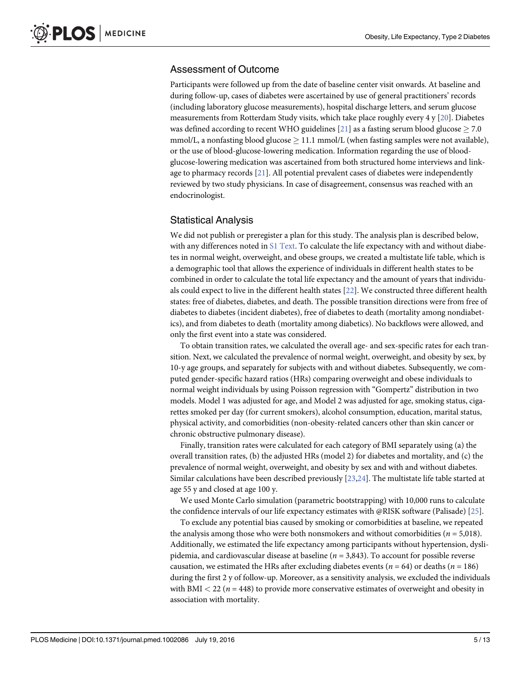#### <span id="page-4-0"></span>Assessment of Outcome

Participants were followed up from the date of baseline center visit onwards. At baseline and during follow-up, cases of diabetes were ascertained by use of general practitioners' records (including laboratory glucose measurements), hospital discharge letters, and serum glucose measurements from Rotterdam Study visits, which take place roughly every 4 y [[20](#page-12-0)]. Diabetes was defined according to recent WHO guidelines [\[21\]](#page-12-0) as a fasting serum blood glucose  $\geq$  7.0 mmol/L, a nonfasting blood glucose  $\geq 11.1$  mmol/L (when fasting samples were not available), or the use of blood-glucose-lowering medication. Information regarding the use of bloodglucose-lowering medication was ascertained from both structured home interviews and linkage to pharmacy records [[21](#page-12-0)]. All potential prevalent cases of diabetes were independently reviewed by two study physicians. In case of disagreement, consensus was reached with an endocrinologist.

#### Statistical Analysis

We did not publish or preregister a plan for this study. The analysis plan is described below, with any differences noted in [S1 Text.](#page-10-0) To calculate the life expectancy with and without diabetes in normal weight, overweight, and obese groups, we created a multistate life table, which is a demographic tool that allows the experience of individuals in different health states to be combined in order to calculate the total life expectancy and the amount of years that individuals could expect to live in the different health states [[22](#page-12-0)]. We constructed three different health states: free of diabetes, diabetes, and death. The possible transition directions were from free of diabetes to diabetes (incident diabetes), free of diabetes to death (mortality among nondiabetics), and from diabetes to death (mortality among diabetics). No backflows were allowed, and only the first event into a state was considered.

To obtain transition rates, we calculated the overall age- and sex-specific rates for each transition. Next, we calculated the prevalence of normal weight, overweight, and obesity by sex, by 10-y age groups, and separately for subjects with and without diabetes. Subsequently, we computed gender-specific hazard ratios (HRs) comparing overweight and obese individuals to normal weight individuals by using Poisson regression with "Gompertz" distribution in two models. Model 1 was adjusted for age, and Model 2 was adjusted for age, smoking status, cigarettes smoked per day (for current smokers), alcohol consumption, education, marital status, physical activity, and comorbidities (non-obesity-related cancers other than skin cancer or chronic obstructive pulmonary disease).

Finally, transition rates were calculated for each category of BMI separately using (a) the overall transition rates, (b) the adjusted HRs (model 2) for diabetes and mortality, and (c) the prevalence of normal weight, overweight, and obesity by sex and with and without diabetes. Similar calculations have been described previously [\[23,24\]](#page-12-0). The multistate life table started at age 55 y and closed at age 100 y.

We used Monte Carlo simulation (parametric bootstrapping) with 10,000 runs to calculate the confidence intervals of our life expectancy estimates with @RISK software (Palisade) [\[25](#page-12-0)].

To exclude any potential bias caused by smoking or comorbidities at baseline, we repeated the analysis among those who were both nonsmokers and without comorbidities ( $n = 5,018$ ). Additionally, we estimated the life expectancy among participants without hypertension, dyslipidemia, and cardiovascular disease at baseline ( $n = 3,843$ ). To account for possible reverse causation, we estimated the HRs after excluding diabetes events ( $n = 64$ ) or deaths ( $n = 186$ ) during the first 2 y of follow-up. Moreover, as a sensitivity analysis, we excluded the individuals with BMI  $<$  22 ( $n = 448$ ) to provide more conservative estimates of overweight and obesity in association with mortality.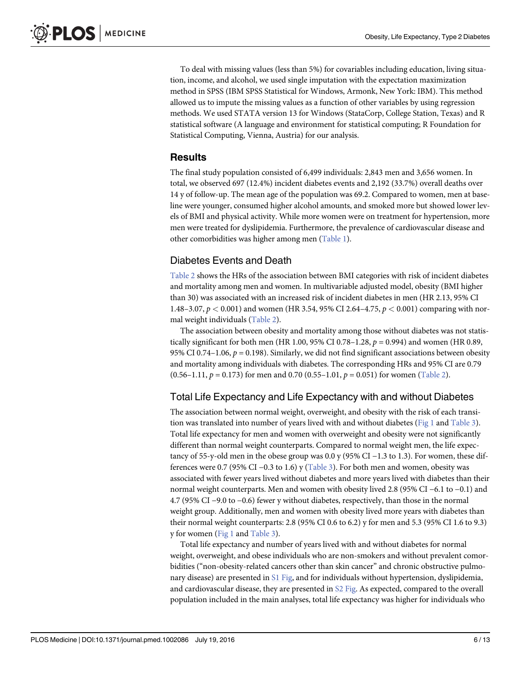<span id="page-5-0"></span>To deal with missing values (less than 5%) for covariables including education, living situation, income, and alcohol, we used single imputation with the expectation maximization method in SPSS (IBM SPSS Statistical for Windows, Armonk, New York: IBM). This method allowed us to impute the missing values as a function of other variables by using regression methods. We used STATA version 13 for Windows (StataCorp, College Station, Texas) and R statistical software (A language and environment for statistical computing; R Foundation for Statistical Computing, Vienna, Austria) for our analysis.

#### Results

The final study population consisted of 6,499 individuals: 2,843 men and 3,656 women. In total, we observed 697 (12.4%) incident diabetes events and 2,192 (33.7%) overall deaths over 14 y of follow-up. The mean age of the population was 69.2. Compared to women, men at baseline were younger, consumed higher alcohol amounts, and smoked more but showed lower levels of BMI and physical activity. While more women were on treatment for hypertension, more men were treated for dyslipidemia. Furthermore, the prevalence of cardiovascular disease and other comorbidities was higher among men [\(Table 1\)](#page-6-0).

#### Diabetes Events and Death

[Table 2](#page-7-0) shows the HRs of the association between BMI categories with risk of incident diabetes and mortality among men and women. In multivariable adjusted model, obesity (BMI higher than 30) was associated with an increased risk of incident diabetes in men (HR 2.13, 95% CI 1.48–3.07,  $p < 0.001$ ) and women (HR 3.54, 95% CI 2.64–4.75,  $p < 0.001$ ) comparing with normal weight individuals ([Table 2\)](#page-7-0).

The association between obesity and mortality among those without diabetes was not statistically significant for both men (HR 1.00, 95% CI 0.78–1.28,  $p = 0.994$ ) and women (HR 0.89, 95% CI 0.74–1.06,  $p = 0.198$ ). Similarly, we did not find significant associations between obesity and mortality among individuals with diabetes. The corresponding HRs and 95% CI are 0.79  $(0.56-1.11, p = 0.173)$  for men and 0.70  $(0.55-1.01, p = 0.051)$  for women ([Table 2\)](#page-7-0).

#### Total Life Expectancy and Life Expectancy with and without Diabetes

The association between normal weight, overweight, and obesity with the risk of each transition was translated into number of years lived with and without diabetes [\(Fig 1](#page-7-0) and [Table 3](#page-8-0)). Total life expectancy for men and women with overweight and obesity were not significantly different than normal weight counterparts. Compared to normal weight men, the life expectancy of 55-y-old men in the obese group was 0.0 y (95% CI −1.3 to 1.3). For women, these differences were 0.7 (95% CI −0.3 to 1.6) y ( $Table 3$ ). For both men and women, obesity was associated with fewer years lived without diabetes and more years lived with diabetes than their normal weight counterparts. Men and women with obesity lived 2.8 (95% CI −6.1 to −0.1) and 4.7 (95% CI −9.0 to −0.6) fewer y without diabetes, respectively, than those in the normal weight group. Additionally, men and women with obesity lived more years with diabetes than their normal weight counterparts: 2.8 (95% CI 0.6 to 6.2) y for men and 5.3 (95% CI 1.6 to 9.3) y for women ([Fig 1](#page-7-0) and [Table 3\)](#page-8-0).

Total life expectancy and number of years lived with and without diabetes for normal weight, overweight, and obese individuals who are non-smokers and without prevalent comorbidities ("non-obesity-related cancers other than skin cancer" and chronic obstructive pulmonary disease) are presented in [S1 Fig](#page-9-0), and for individuals without hypertension, dyslipidemia, and cardiovascular disease, they are presented in  $S2$  Fig. As expected, compared to the overall population included in the main analyses, total life expectancy was higher for individuals who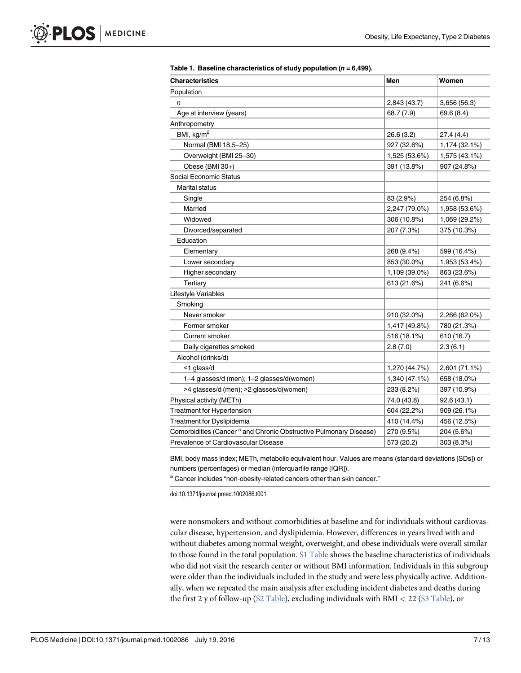<span id="page-6-0"></span>

| <b>Characteristics</b>                                                        | Men           | Women         |
|-------------------------------------------------------------------------------|---------------|---------------|
| Population                                                                    |               |               |
| n                                                                             | 2,843 (43.7)  | 3,656(56.3)   |
| Age at interview (years)                                                      | 68.7 (7.9)    | 69.6 (8.4)    |
| Anthropometry                                                                 |               |               |
| BMI, $kg/m2$                                                                  | 26.6 (3.2)    | 27.4(4.4)     |
| Normal (BMI 18.5-25)                                                          | 927 (32.6%)   | 1,174 (32.1%) |
| Overweight (BMI 25-30)                                                        | 1,525 (53.6%) | 1,575 (43.1%) |
| Obese (BMI 30+)                                                               | 391 (13.8%)   | 907 (24.8%)   |
| Social Economic Status                                                        |               |               |
| <b>Marital status</b>                                                         |               |               |
| Single                                                                        | 83 (2.9%)     | 254 (6.8%)    |
| Married                                                                       | 2,247 (79.0%) | 1,958 (53.6%) |
| Widowed                                                                       | 306 (10.8%)   | 1,069 (29.2%) |
| Divorced/separated                                                            | 207 (7.3%)    | 375 (10.3%)   |
| Education                                                                     |               |               |
| Elementary                                                                    | 268 (9.4%)    | 599 (16.4%)   |
| Lower secondary                                                               | 853 (30.0%)   | 1,953 (53.4%) |
| Higher secondary                                                              | 1,109 (39.0%) | 863 (23.6%)   |
| Tertiary                                                                      | 613 (21.6%)   | 241 (6.6%)    |
| Lifestyle Variables                                                           |               |               |
| Smoking                                                                       |               |               |
| Never smoker                                                                  | 910 (32.0%)   | 2,266 (62.0%) |
| Former smoker                                                                 | 1,417 (49.8%) | 780 (21.3%)   |
| <b>Current smoker</b>                                                         | 516 (18.1%)   | 610 (16.7)    |
| Daily cigarettes smoked                                                       | 2.8(7.0)      | 2.3(6.1)      |
| Alcohol (drinks/d)                                                            |               |               |
| <1 glass/d                                                                    | 1,270 (44.7%) | 2,601 (71.1%) |
| 1-4 glasses/d (men); 1-2 glasses/d(women)                                     | 1,340 (47.1%) | 658 (18.0%)   |
| >4 glasses/d (men); >2 glasses/d(women)                                       | 233 (8.2%)    | 397 (10.9%)   |
| Physical activity (METh)                                                      | 74.0 (43.8)   | 92.6(43.1)    |
| <b>Treatment for Hypertension</b>                                             | 604 (22.2%)   | 909 (26.1%)   |
| Treatment for Dyslipidemia                                                    | 410 (14.4%)   | 456 (12.5%)   |
| Comorbidities (Cancer <sup>a</sup> and Chronic Obstructive Pulmonary Disease) | 270 (9.5%)    | 204 (5.6%)    |
| Prevalence of Cardiovascular Disease                                          | 573 (20.2)    | 303 (8.3%)    |

[Table 1.](#page-5-0) Baseline characteristics of study population ( $n = 6,499$ ).

BMI, body mass index; METh, metabolic equivalent hour. Values are means (standard deviations [SDs]) or numbers (percentages) or median (interquartile range [IQR]).

a Cancer includes "non-obesity-related cancers other than skin cancer."

doi:10.1371/journal.pmed.1002086.t001

were nonsmokers and without comorbidities at baseline and for individuals without cardiovascular disease, hypertension, and dyslipidemia. However, differences in years lived with and without diabetes among normal weight, overweight, and obese individuals were overall similar to those found in the total population. [S1 Table](#page-10-0) shows the baseline characteristics of individuals who did not visit the research center or without BMI information. Individuals in this subgroup were older than the individuals included in the study and were less physically active. Additionally, when we repeated the main analysis after excluding incident diabetes and deaths during the first 2 y of follow-up ( $S2$  Table), excluding individuals with BMI < 22 ( $S3$  Table), or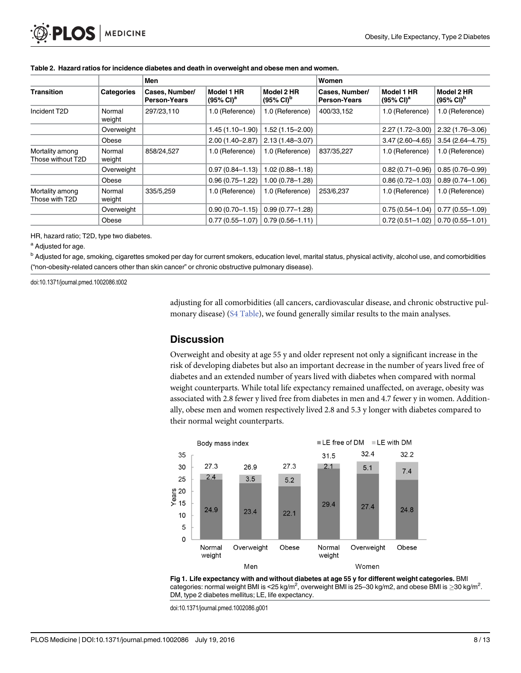|                                      |                  | Men                                   |                                     |                                              | Women                                 |                                     |                                              |
|--------------------------------------|------------------|---------------------------------------|-------------------------------------|----------------------------------------------|---------------------------------------|-------------------------------------|----------------------------------------------|
| <b>Transition</b>                    | Categories       | Cases, Number/<br><b>Person-Years</b> | Model 1 HR<br>$(95\% \text{ Cl})^a$ | Model 2 HR<br>$(95\% \text{ Cl})^{\text{D}}$ | Cases, Number/<br><b>Person-Years</b> | Model 1 HR<br>$(95\% \text{ Cl})^a$ | Model 2 HR<br>$(95\% \text{ Cl})^{\text{b}}$ |
| Incident T2D                         | Normal<br>weight | 297/23,110                            | 1.0 (Reference)                     | 1.0 (Reference)                              | 400/33,152                            | 1.0 (Reference)                     | 1.0 (Reference)                              |
|                                      | Overweight       |                                       | $1.45(1.10-1.90)$                   | $1.52(1.15 - 2.00)$                          |                                       | $2.27(1.72 - 3.00)$                 | $2.32(1.76 - 3.06)$                          |
|                                      | Obese            |                                       | $2.00(1.40 - 2.87)$                 | $2.13(1.48 - 3.07)$                          |                                       | $3.47(2.60 - 4.65)$                 | $3.54(2.64 - 4.75)$                          |
| Mortality among<br>Those without T2D | Normal<br>weight | 858/24.527                            | 1.0 (Reference)                     | 1.0 (Reference)                              | 837/35,227                            | 1.0 (Reference)                     | 1.0 (Reference)                              |
|                                      | Overweight       |                                       | $0.97(0.84 - 1.13)$                 | $1.02(0.88 - 1.18)$                          |                                       | $0.82(0.71 - 0.96)$                 | $0.85(0.76 - 0.99)$                          |
|                                      | Obese            |                                       | $0.96(0.75 - 1.22)$                 | $1.00(0.78 - 1.28)$                          |                                       | $0.86(0.72 - 1.03)$                 | $0.89(0.74 - 1.06)$                          |
| Mortality among<br>Those with T2D    | Normal<br>weight | 335/5,259                             | 1.0 (Reference)                     | 1.0 (Reference)                              | 253/6,237                             | 1.0 (Reference)                     | 1.0 (Reference)                              |
|                                      | Overweight       |                                       | $0.90(0.70 - 1.15)$                 | $0.99(0.77 - 1.28)$                          |                                       | $0.75(0.54 - 1.04)$                 | $0.77(0.55 - 1.09)$                          |
|                                      | Obese            |                                       | $0.77(0.55 - 1.07)$                 | $0.79(0.56 - 1.11)$                          |                                       | $0.72(0.51 - 1.02)$                 | $0.70(0.55 - 1.01)$                          |

#### <span id="page-7-0"></span>[Table 2.](#page-5-0) Hazard ratios for incidence diabetes and death in overweight and obese men and women.

HR, hazard ratio; T2D, type two diabetes.

a Adjusted for age.

<sup>b</sup> Adjusted for age, smoking, cigarettes smoked per day for current smokers, education level, marital status, physical activity, alcohol use, and comorbidities ("non-obesity-related cancers other than skin cancer" or chronic obstructive pulmonary disease).

doi:10.1371/journal.pmed.1002086.t002

adjusting for all comorbidities (all cancers, cardiovascular disease, and chronic obstructive pulmonary disease) [\(S4 Table](#page-10-0)), we found generally similar results to the main analyses.

#### **Discussion**

Overweight and obesity at age 55 y and older represent not only a significant increase in the risk of developing diabetes but also an important decrease in the number of years lived free of diabetes and an extended number of years lived with diabetes when compared with normal weight counterparts. While total life expectancy remained unaffected, on average, obesity was associated with 2.8 fewer y lived free from diabetes in men and 4.7 fewer y in women. Additionally, obese men and women respectively lived 2.8 and 5.3 y longer with diabetes compared to their normal weight counterparts.



[Fig 1. L](#page-5-0)ife expectancy with and without diabetes at age 55 y for different weight categories. BMI categories: normal weight BMI is <25 kg/m<sup>2</sup>, overweight BMI is 25–30 kg/m2, and obese BMI is  $\geq$ 30 kg/m<sup>2</sup>. DM, type 2 diabetes mellitus; LE, life expectancy.

doi:10.1371/journal.pmed.1002086.g001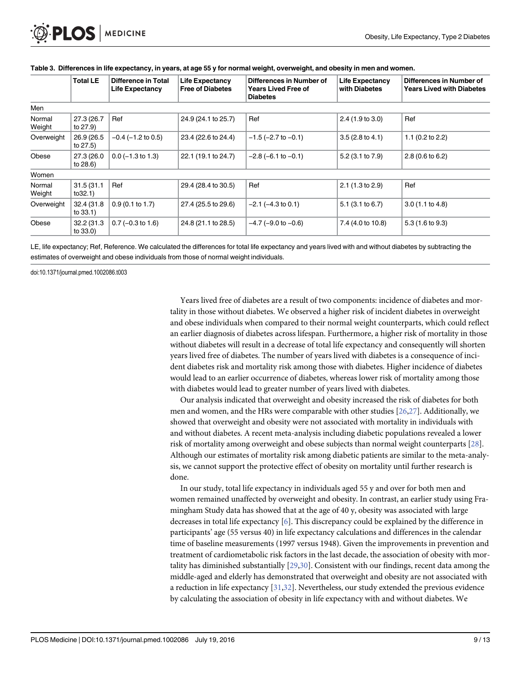|                  | <b>Total LE</b>         | Difference in Total<br><b>Life Expectancy</b> | <b>Life Expectancy</b><br><b>Free of Diabetes</b> | Differences in Number of<br><b>Years Lived Free of</b><br><b>Diabetes</b> | <b>Life Expectancy</b><br>with Diabetes | Differences in Number of<br><b>Years Lived with Diabetes</b> |
|------------------|-------------------------|-----------------------------------------------|---------------------------------------------------|---------------------------------------------------------------------------|-----------------------------------------|--------------------------------------------------------------|
| Men              |                         |                                               |                                                   |                                                                           |                                         |                                                              |
| Normal<br>Weight | 27.3 (26.7<br>to 27.9)  | Ref                                           | 24.9 (24.1 to 25.7)                               | Ref                                                                       | 2.4(1.9 to 3.0)                         | Ref                                                          |
| Overweight       | 26.9 (26.5<br>to 27.5)  | $-0.4$ ( $-1.2$ to 0.5)                       | 23.4 (22.6 to 24.4)                               | $-1.5$ ( $-2.7$ to $-0.1$ )                                               | $3.5(2.8 \text{ to } 4.1)$              | 1.1 $(0.2$ to 2.2)                                           |
| Obese            | 27.3 (26.0)<br>to 28.6) | $0.0$ (-1.3 to 1.3)                           | 22.1 (19.1 to 24.7)                               | $-2.8$ ( $-6.1$ to $-0.1$ )                                               | 5.2 (3.1 to 7.9)                        | $2.8(0.6 \text{ to } 6.2)$                                   |
| Women            |                         |                                               |                                                   |                                                                           |                                         |                                                              |
| Normal<br>Weight | 31.5 (31.1<br>to32.1)   | Ref                                           | 29.4 (28.4 to 30.5)                               | Ref                                                                       | 2.1(1.3 to 2.9)                         | Ref                                                          |
| Overweight       | 32.4 (31.8)<br>to 33.1) | $0.9(0.1 \text{ to } 1.7)$                    | 27.4 (25.5 to 29.6)                               | $-2.1$ ( $-4.3$ to 0.1)                                                   | $5.1$ (3.1 to 6.7)                      | 3.0(1.1 to 4.8)                                              |
| Obese            | 32.2 (31.3)<br>to 33.0) | $0.7 (-0.3 to 1.6)$                           | 24.8 (21.1 to 28.5)                               | $-4.7$ ( $-9.0$ to $-0.6$ )                                               | 7.4 (4.0 to 10.8)                       | $5.3(1.6 \text{ to } 9.3)$                                   |

#### <span id="page-8-0"></span>[Table 3.](#page-5-0) Differences in life expectancy, in years, at age 55 y for normal weight, overweight, and obesity in men and women.

LE, life expectancy; Ref, Reference. We calculated the differences for total life expectancy and years lived with and without diabetes by subtracting the estimates of overweight and obese individuals from those of normal weight individuals.

doi:10.1371/journal.pmed.1002086.t003

Years lived free of diabetes are a result of two components: incidence of diabetes and mortality in those without diabetes. We observed a higher risk of incident diabetes in overweight and obese individuals when compared to their normal weight counterparts, which could reflect an earlier diagnosis of diabetes across lifespan. Furthermore, a higher risk of mortality in those without diabetes will result in a decrease of total life expectancy and consequently will shorten years lived free of diabetes. The number of years lived with diabetes is a consequence of incident diabetes risk and mortality risk among those with diabetes. Higher incidence of diabetes would lead to an earlier occurrence of diabetes, whereas lower risk of mortality among those with diabetes would lead to greater number of years lived with diabetes.

Our analysis indicated that overweight and obesity increased the risk of diabetes for both men and women, and the HRs were comparable with other studies [[26](#page-12-0),[27](#page-12-0)]. Additionally, we showed that overweight and obesity were not associated with mortality in individuals with and without diabetes. A recent meta-analysis including diabetic populations revealed a lower risk of mortality among overweight and obese subjects than normal weight counterparts [[28](#page-12-0)]. Although our estimates of mortality risk among diabetic patients are similar to the meta-analysis, we cannot support the protective effect of obesity on mortality until further research is done.

In our study, total life expectancy in individuals aged 55 y and over for both men and women remained unaffected by overweight and obesity. In contrast, an earlier study using Framingham Study data has showed that at the age of 40 y, obesity was associated with large decreases in total life expectancy  $[6]$  $[6]$ . This discrepancy could be explained by the difference in participants' age (55 versus 40) in life expectancy calculations and differences in the calendar time of baseline measurements (1997 versus 1948). Given the improvements in prevention and treatment of cardiometabolic risk factors in the last decade, the association of obesity with mortality has diminished substantially [[29,30\]](#page-12-0). Consistent with our findings, recent data among the middle-aged and elderly has demonstrated that overweight and obesity are not associated with a reduction in life expectancy [[31,32\]](#page-12-0). Nevertheless, our study extended the previous evidence by calculating the association of obesity in life expectancy with and without diabetes. We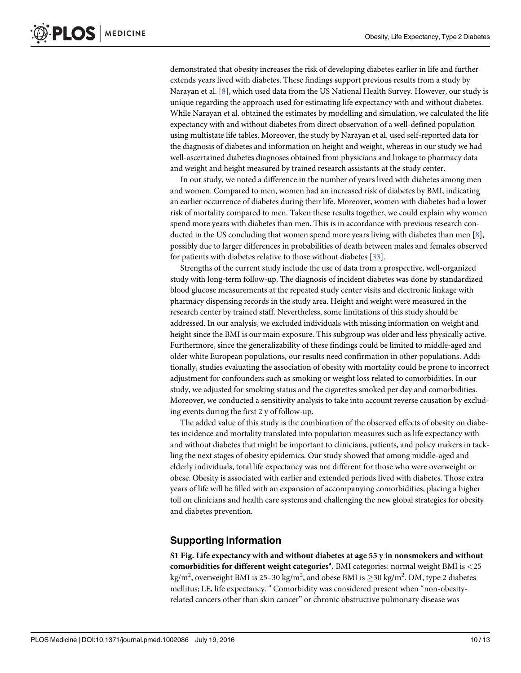<span id="page-9-0"></span>demonstrated that obesity increases the risk of developing diabetes earlier in life and further extends years lived with diabetes. These findings support previous results from a study by Narayan et al.  $[8]$  $[8]$  $[8]$ , which used data from the US National Health Survey. However, our study is unique regarding the approach used for estimating life expectancy with and without diabetes. While Narayan et al. obtained the estimates by modelling and simulation, we calculated the life expectancy with and without diabetes from direct observation of a well-defined population using multistate life tables. Moreover, the study by Narayan et al. used self-reported data for the diagnosis of diabetes and information on height and weight, whereas in our study we had well-ascertained diabetes diagnoses obtained from physicians and linkage to pharmacy data and weight and height measured by trained research assistants at the study center.

In our study, we noted a difference in the number of years lived with diabetes among men and women. Compared to men, women had an increased risk of diabetes by BMI, indicating an earlier occurrence of diabetes during their life. Moreover, women with diabetes had a lower risk of mortality compared to men. Taken these results together, we could explain why women spend more years with diabetes than men. This is in accordance with previous research conducted in the US concluding that women spend more years living with diabetes than men [[8\]](#page-11-0), possibly due to larger differences in probabilities of death between males and females observed for patients with diabetes relative to those without diabetes [[33](#page-12-0)].

Strengths of the current study include the use of data from a prospective, well-organized study with long-term follow-up. The diagnosis of incident diabetes was done by standardized blood glucose measurements at the repeated study center visits and electronic linkage with pharmacy dispensing records in the study area. Height and weight were measured in the research center by trained staff. Nevertheless, some limitations of this study should be addressed. In our analysis, we excluded individuals with missing information on weight and height since the BMI is our main exposure. This subgroup was older and less physically active. Furthermore, since the generalizability of these findings could be limited to middle-aged and older white European populations, our results need confirmation in other populations. Additionally, studies evaluating the association of obesity with mortality could be prone to incorrect adjustment for confounders such as smoking or weight loss related to comorbidities. In our study, we adjusted for smoking status and the cigarettes smoked per day and comorbidities. Moreover, we conducted a sensitivity analysis to take into account reverse causation by excluding events during the first 2 y of follow-up.

The added value of this study is the combination of the observed effects of obesity on diabetes incidence and mortality translated into population measures such as life expectancy with and without diabetes that might be important to clinicians, patients, and policy makers in tackling the next stages of obesity epidemics. Our study showed that among middle-aged and elderly individuals, total life expectancy was not different for those who were overweight or obese. Obesity is associated with earlier and extended periods lived with diabetes. Those extra years of life will be filled with an expansion of accompanying comorbidities, placing a higher toll on clinicians and health care systems and challenging the new global strategies for obesity and diabetes prevention.

#### Supporting Information

[S1 Fig.](http://journals.plos.org/plosmedicine/article/asset?unique&id=info:doi/10.1371/journal.pmed.1002086.s001) Life expectancy with and without diabetes at age 55 y in nonsmokers and without  $\textbf{comorbidities}$  for different weight categories<sup>a</sup>. BMI categories: normal weight BMI is  ${<}25$ kg/m<sup>2</sup>, overweight BMI is 25–30 kg/m<sup>2</sup>, and obese BMI is  $\geq$ 30 kg/m<sup>2</sup>. DM, type 2 diabetes mellitus; LE, life expectancy. <sup>a</sup> Comorbidity was considered present when "non-obesityrelated cancers other than skin cancer" or chronic obstructive pulmonary disease was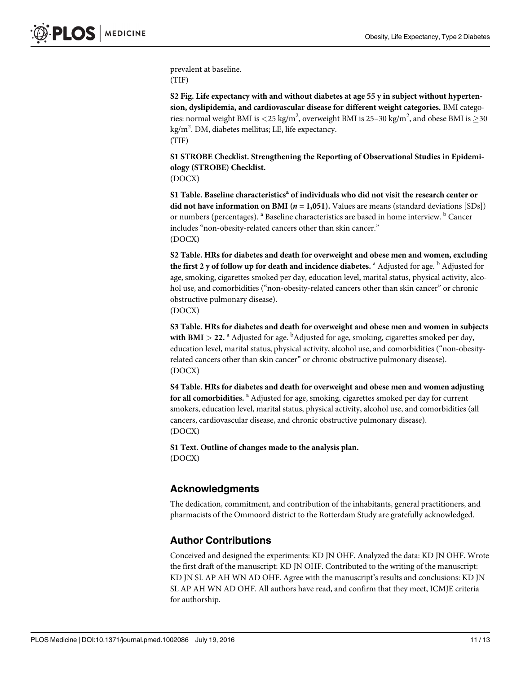<span id="page-10-0"></span>prevalent at baseline. (TIF)

[S2 Fig.](http://journals.plos.org/plosmedicine/article/asset?unique&id=info:doi/10.1371/journal.pmed.1002086.s002) Life expectancy with and without diabetes at age 55 y in subject without hypertension, dyslipidemia, and cardiovascular disease for different weight categories. BMI categories: normal weight BMI is <25 kg/m<sup>2</sup>, overweight BMI is 25–30 kg/m<sup>2</sup>, and obese BMI is  $\geq$ 30 kg/m<sup>2</sup>. DM, diabetes mellitus; LE, life expectancy. (TIF)

[S1 STROBE Checklist](http://journals.plos.org/plosmedicine/article/asset?unique&id=info:doi/10.1371/journal.pmed.1002086.s003). Strengthening the Reporting of Observational Studies in Epidemiology (STROBE) Checklist.

(DOCX)

[S1 Table](http://journals.plos.org/plosmedicine/article/asset?unique&id=info:doi/10.1371/journal.pmed.1002086.s004). Baseline characteristics<sup>a</sup> of individuals who did not visit the research center or did not have information on BMI ( $n = 1,051$ ). Values are means (standard deviations [SDs]) or numbers (percentages). <sup>a</sup> Baseline characteristics are based in home interview. <sup>b</sup> Cancer includes "non-obesity-related cancers other than skin cancer." (DOCX)

[S2 Table](http://journals.plos.org/plosmedicine/article/asset?unique&id=info:doi/10.1371/journal.pmed.1002086.s005). HRs for diabetes and death for overweight and obese men and women, excluding the first 2 y of follow up for death and incidence diabetes.  $^{\text{a}}$  Adjusted for age.  $^{\text{b}}$  Adjusted for age, smoking, cigarettes smoked per day, education level, marital status, physical activity, alcohol use, and comorbidities ("non-obesity-related cancers other than skin cancer" or chronic obstructive pulmonary disease).

(DOCX)

[S3 Table](http://journals.plos.org/plosmedicine/article/asset?unique&id=info:doi/10.1371/journal.pmed.1002086.s006). HRs for diabetes and death for overweight and obese men and women in subjects with BMI  $>$  22.  $^{\rm a}$  Adjusted for age.  $^{\rm b}$ Adjusted for age, smoking, cigarettes smoked per day, education level, marital status, physical activity, alcohol use, and comorbidities ("non-obesityrelated cancers other than skin cancer" or chronic obstructive pulmonary disease). (DOCX)

[S4 Table](http://journals.plos.org/plosmedicine/article/asset?unique&id=info:doi/10.1371/journal.pmed.1002086.s007). HRs for diabetes and death for overweight and obese men and women adjusting for all comorbidities. <sup>a</sup> Adjusted for age, smoking, cigarettes smoked per day for current smokers, education level, marital status, physical activity, alcohol use, and comorbidities (all cancers, cardiovascular disease, and chronic obstructive pulmonary disease). (DOCX)

[S1 Text.](http://journals.plos.org/plosmedicine/article/asset?unique&id=info:doi/10.1371/journal.pmed.1002086.s008) Outline of changes made to the analysis plan. (DOCX)

#### Acknowledgments

The dedication, commitment, and contribution of the inhabitants, general practitioners, and pharmacists of the Ommoord district to the Rotterdam Study are gratefully acknowledged.

#### Author Contributions

Conceived and designed the experiments: KD JN OHF. Analyzed the data: KD JN OHF. Wrote the first draft of the manuscript: KD JN OHF. Contributed to the writing of the manuscript: KD JN SL AP AH WN AD OHF. Agree with the manuscript's results and conclusions: KD JN SL AP AH WN AD OHF. All authors have read, and confirm that they meet, ICMJE criteria for authorship.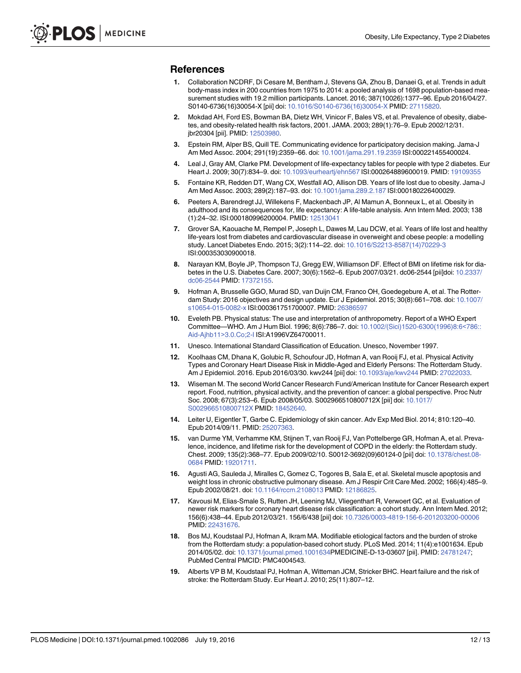#### <span id="page-11-0"></span>References

- [1.](#page-2-0) Collaboration NCDRF, Di Cesare M, Bentham J, Stevens GA, Zhou B, Danaei G, et al. Trends in adult body-mass index in 200 countries from 1975 to 2014: a pooled analysis of 1698 population-based measurement studies with 19.2 million participants. Lancet. 2016; 387(10026):1377–96. Epub 2016/04/27. S0140-6736(16)30054-X [pii] doi: [10.1016/S0140-6736\(16\)30054-X](http://dx.doi.org/10.1016/S0140-6736(16)30054-X) PMID: [27115820.](http://www.ncbi.nlm.nih.gov/pubmed/27115820)
- [2.](#page-2-0) Mokdad AH, Ford ES, Bowman BA, Dietz WH, Vinicor F, Bales VS, et al. Prevalence of obesity, diabetes, and obesity-related health risk factors, 2001. JAMA. 2003; 289(1):76–9. Epub 2002/12/31. jbr20304 [pii]. PMID: [12503980.](http://www.ncbi.nlm.nih.gov/pubmed/12503980)
- [3.](#page-2-0) Epstein RM, Alper BS, Quill TE. Communicating evidence for participatory decision making. Jama-J Am Med Assoc. 2004; 291(19):2359–66. doi: [10.1001/jama.291.19.2359](http://dx.doi.org/10.1001/jama.291.19.2359) ISI:000221455400024.
- [4.](#page-2-0) Leal J, Gray AM, Clarke PM. Development of life-expectancy tables for people with type 2 diabetes. Eur Heart J. 2009; 30(7):834–9. doi: [10.1093/eurheartj/ehn567](http://dx.doi.org/10.1093/eurheartj/ehn567) ISI:000264889600019. PMID: [19109355](http://www.ncbi.nlm.nih.gov/pubmed/19109355)
- [5.](#page-2-0) Fontaine KR, Redden DT, Wang CX, Westfall AO, Allison DB. Years of life lost due to obesity. Jama-J Am Med Assoc. 2003; 289(2):187–93. doi: [10.1001/jama.289.2.187](http://dx.doi.org/10.1001/jama.289.2.187) ISI:000180226400029.
- [6.](#page-2-0) Peeters A, Barendregt JJ, Willekens F, Mackenbach JP, Al Mamun A, Bonneux L, et al. Obesity in adulthood and its consequences for, life expectancy: A life-table analysis. Ann Intern Med. 2003; 138 (1):24–32. ISI:000180996200004. PMID: [12513041](http://www.ncbi.nlm.nih.gov/pubmed/12513041)
- [7.](#page-2-0) Grover SA, Kaouache M, Rempel P, Joseph L, Dawes M, Lau DCW, et al. Years of life lost and healthy life-years lost from diabetes and cardiovascular disease in overweight and obese people: a modelling study. Lancet Diabetes Endo. 2015; 3(2):114–22. doi: [10.1016/S2213-8587\(14\)70229-3](http://dx.doi.org/10.1016/S2213-8587(14)70229-3) ISI:000353030900018.
- [8.](#page-2-0) Narayan KM, Boyle JP, Thompson TJ, Gregg EW, Williamson DF. Effect of BMI on lifetime risk for diabetes in the U.S. Diabetes Care. 2007; 30(6):1562–6. Epub 2007/03/21. dc06-2544 [pii]doi: [10.2337/](http://dx.doi.org/10.2337/dc06-2544) [dc06-2544](http://dx.doi.org/10.2337/dc06-2544) PMID: [17372155](http://www.ncbi.nlm.nih.gov/pubmed/17372155).
- [9.](#page-2-0) Hofman A, Brusselle GGO, Murad SD, van Duijn CM, Franco OH, Goedegebure A, et al. The Rotter-dam Study: 2016 objectives and design update. Eur J Epidemiol. 2015; 30(8):661–708. doi: [10.1007/](http://dx.doi.org/10.1007/s10654-015-0082-x) [s10654-015-0082-x](http://dx.doi.org/10.1007/s10654-015-0082-x) ISI:000361751700007. PMID: [26386597](http://www.ncbi.nlm.nih.gov/pubmed/26386597)
- [10.](#page-3-0) Eveleth PB. Physical status: The use and interpretation of anthropometry. Report of a WHO Expert Committee—WHO. Am J Hum Biol. 1996; 8(6):786–7. doi: [10.1002/\(Sici\)1520-6300\(1996\)8:6](http://dx.doi.org/10.1002/(Sici)1520-6300(1996)8:6<786::Aid-Ajhb11>3.0.Co;2-I)<786:: [Aid-Ajhb11](http://dx.doi.org/10.1002/(Sici)1520-6300(1996)8:6<786::Aid-Ajhb11>3.0.Co;2-I)>3.0.Co;2-I ISI:A1996VZ64700011.
- [11.](#page-3-0) Unesco. International Standard Classification of Education. Unesco, November 1997.
- [12.](#page-3-0) Koolhaas CM, Dhana K, Golubic R, Schoufour JD, Hofman A, van Rooij FJ, et al. Physical Activity Types and Coronary Heart Disease Risk in Middle-Aged and Elderly Persons: The Rotterdam Study. Am J Epidemiol. 2016. Epub 2016/03/30. kwv244 [pii] doi: [10.1093/aje/kwv244](http://dx.doi.org/10.1093/aje/kwv244) PMID: [27022033](http://www.ncbi.nlm.nih.gov/pubmed/27022033).
- [13.](#page-3-0) Wiseman M. The second World Cancer Research Fund/American Institute for Cancer Research expert report. Food, nutrition, physical activity, and the prevention of cancer: a global perspective. Proc Nutr Soc. 2008; 67(3):253–6. Epub 2008/05/03. S002966510800712X [pii] doi: [10.1017/](http://dx.doi.org/10.1017/S002966510800712X) [S002966510800712X](http://dx.doi.org/10.1017/S002966510800712X) PMID: [18452640](http://www.ncbi.nlm.nih.gov/pubmed/18452640).
- [14.](#page-3-0) Leiter U, Eigentler T, Garbe C. Epidemiology of skin cancer. Adv Exp Med Biol. 2014; 810:120–40. Epub 2014/09/11. PMID: [25207363.](http://www.ncbi.nlm.nih.gov/pubmed/25207363)
- [15.](#page-3-0) van Durme YM, Verhamme KM, Stijnen T, van Rooij FJ, Van Pottelberge GR, Hofman A, et al. Prevalence, incidence, and lifetime risk for the development of COPD in the elderly: the Rotterdam study. Chest. 2009; 135(2):368–77. Epub 2009/02/10. S0012-3692(09)60124-0 [pii] doi: [10.1378/chest.08-](http://dx.doi.org/10.1378/chest.08-0684) [0684](http://dx.doi.org/10.1378/chest.08-0684) PMID: [19201711](http://www.ncbi.nlm.nih.gov/pubmed/19201711).
- [16.](#page-3-0) Agusti AG, Sauleda J, Miralles C, Gomez C, Togores B, Sala E, et al. Skeletal muscle apoptosis and weight loss in chronic obstructive pulmonary disease. Am J Respir Crit Care Med. 2002; 166(4):485-9. Epub 2002/08/21. doi: [10.1164/rccm.2108013](http://dx.doi.org/10.1164/rccm.2108013) PMID: [12186825.](http://www.ncbi.nlm.nih.gov/pubmed/12186825)
- [17.](#page-3-0) Kavousi M, Elias-Smale S, Rutten JH, Leening MJ, Vliegenthart R, Verwoert GC, et al. Evaluation of newer risk markers for coronary heart disease risk classification: a cohort study. Ann Intern Med. 2012; 156(6):438–44. Epub 2012/03/21. 156/6/438 [pii] doi: [10.7326/0003-4819-156-6-201203200-00006](http://dx.doi.org/10.7326/0003-4819-156-6-201203200-00006) PMID: [22431676.](http://www.ncbi.nlm.nih.gov/pubmed/22431676)
- 18. Bos MJ, Koudstaal PJ, Hofman A, Ikram MA. Modifiable etiological factors and the burden of stroke from the Rotterdam study: a population-based cohort study. PLoS Med. 2014; 11(4):e1001634. Epub 2014/05/02. doi: [10.1371/journal.pmed.1001634](http://dx.doi.org/10.1371/journal.pmed.1001634)PMEDICINE-D-13-03607 [pii]. PMID: [24781247](http://www.ncbi.nlm.nih.gov/pubmed/24781247); PubMed Central PMCID: PMC4004543.
- [19.](#page-3-0) Alberts VP B M, Koudstaal PJ, Hofman A, Witteman JCM, Stricker BHC. Heart failure and the risk of stroke: the Rotterdam Study. Eur Heart J. 2010; 25(11):807–12.